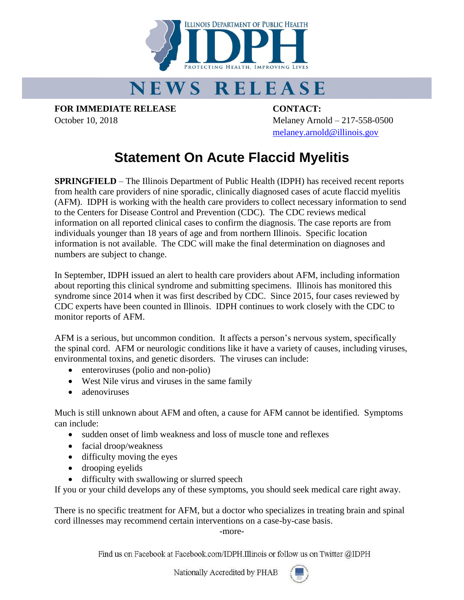

## **NEWS RELEASE**

**FOR IMMEDIATE RELEASE CONTACT:**

October 10, 2018 Melaney Arnold – 217-558-0500 [melaney.arnold@illinois.gov](mailto:melaney.arnold@illinois.gov)

## **Statement On Acute Flaccid Myelitis**

**SPRINGFIELD** – The Illinois Department of Public Health (IDPH) has received recent reports from health care providers of nine sporadic, clinically diagnosed cases of acute flaccid myelitis (AFM). IDPH is working with the health care providers to collect necessary information to send to the Centers for Disease Control and Prevention (CDC). The CDC reviews medical information on all reported clinical cases to confirm the diagnosis. The case reports are from individuals younger than 18 years of age and from northern Illinois. Specific location information is not available. The CDC will make the final determination on diagnoses and numbers are subject to change.

In September, IDPH issued an alert to health care providers about AFM, including information about reporting this clinical syndrome and submitting specimens. Illinois has monitored this syndrome since 2014 when it was first described by CDC. Since 2015, four cases reviewed by CDC experts have been counted in Illinois. IDPH continues to work closely with the CDC to monitor reports of AFM.

AFM is a serious, but uncommon condition. It affects a person's nervous system, specifically the spinal cord. AFM or neurologic conditions like it have a variety of causes, including viruses, environmental toxins, and genetic disorders. The viruses can include:

- enteroviruses (polio and non-polio)
- West Nile virus and viruses in the same family
- adenoviruses

Much is still unknown about AFM and often, a cause for AFM cannot be identified. Symptoms can include:

- sudden onset of limb weakness and loss of muscle tone and reflexes
- facial droop/weakness
- difficulty moving the eyes
- drooping eyelids
- difficulty with swallowing or slurred speech

If you or your child develops any of these symptoms, you should seek medical care right away.

There is no specific treatment for AFM, but a doctor who specializes in treating brain and spinal cord illnesses may recommend certain interventions on a case-by-case basis.

-more-

Find us on Facebook at Facebook.com/IDPH.Illinois or follow us on Twitter @IDPH

Nationally Accredited by PHAB